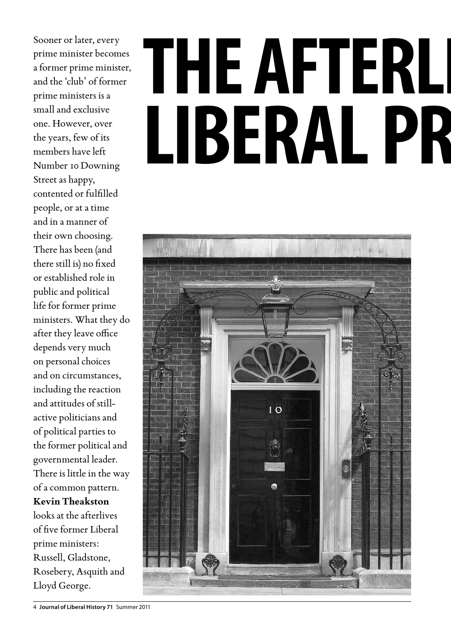Sooner or later, every prime minister becomes a former prime minister, and the 'club' of former prime ministers is a small and exclusive one. However, over the years, few of its members have left Number 10 Downing Street as happy, contented or fulfilled people, or at a time and in a manner of their own choosing. There has been (and there still is) no fixed or established role in public and political life for former prime ministers. What they do after they leave office depends very much on personal choices and on circumstances, including the reaction and attitudes of stillactive politicians and of political parties to the former political and governmental leader. There is little in the way of a common pattern. **Kevin Theakston** looks at the afterlives of five former Liberal prime ministers: Russell, Gladstone, Rosebery, Asquith and Lloyd George.

## THE AFTERLI LIBERAL PR



<sup>4</sup> **Journal of Liberal History 71** Summer 2011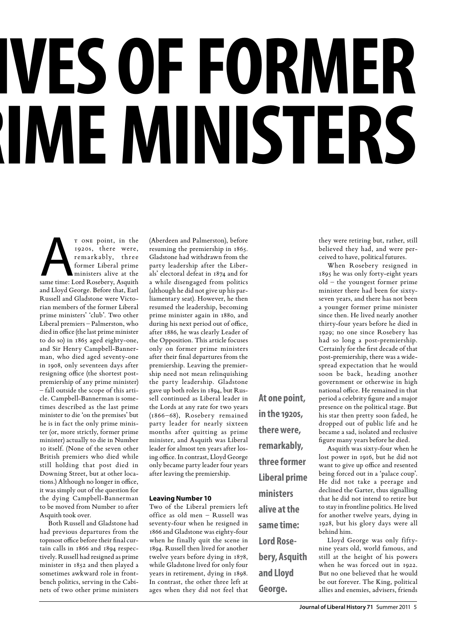# **VES OF FORMER ME MINISTERS**

T ONE point, in the 1920s, there were, remarkably, three former Liberal prime ministers alive at the same time: Lord Rosebery, Asquith 1920s, there were, remarkably, three former Liberal prime ministers alive at the and Lloyd George. Before that, Earl Russell and Gladstone were Victorian members of the former Liberal prime ministers' 'club'. Two other Liberal premiers – Palmerston, who died in office (the last prime minister to do so) in 1865 aged eighty-one, and Sir Henry Campbell-Bannerman, who died aged seventy-one in 1908, only seventeen days after resigning office (the shortest postpremiership of any prime minister) – fall outside the scope of this article. Campbell-Bannerman is sometimes described as the last prime minister to die 'on the premises' but he is in fact the only prime minister (or, more strictly, former prime minister) actually to die in Number 10 itself. (None of the seven other British premiers who died while still holding that post died in Downing Street, but at other locations.) Although no longer in office, it was simply out of the question for the dying Campbell-Bannerman to be moved from Number 10 after Asquith took over.

Both Russell and Gladstone had had previous departures from the topmost office before their final curtain calls in 1866 and 1894 respectively. Russell had resigned as prime minister in 1852 and then played a sometimes awkward role in frontbench politics, serving in the Cabinets of two other prime ministers (Aberdeen and Palmerston), before resuming the premiership in 1865. Gladstone had withdrawn from the party leadership after the Liberals' electoral defeat in 1874 and for a while disengaged from politics (although he did not give up his parliamentary seat). However, he then resumed the leadership, becoming prime minister again in 1880, and during his next period out of office, after 1886, he was clearly Leader of the Opposition. This article focuses only on former prime ministers after their final departures from the premiership. Leaving the premiership need not mean relinquishing the party leadership. Gladstone gave up both roles in 1894, but Russell continued as Liberal leader in the Lords at any rate for two years (1866–68), Rosebery remained party leader for nearly sixteen months after quitting as prime minister, and Asquith was Liberal leader for almost ten years after losing office. In contrast, Lloyd George only became party leader four years after leaving the premiership.

#### **Leaving Number 10**

Two of the Liberal premiers left office as old men – Russell was seventy-four when he resigned in 1866 and Gladstone was eighty-four when he finally quit the scene in 1894. Russell then lived for another twelve years before dying in 1878, while Gladstone lived for only four years in retirement, dying in 1898. In contrast, the other three left at ages when they did not feel that **At one point, in the 1920s, there were, remarkably, three former Liberal prime ministers alive at the same time: Lord Rosebery, Asquith and Lloyd George.**

they were retiring but, rather, still believed they had, and were perceived to have, political futures.

When Rosebery resigned in 1895 he was only forty-eight years old – the youngest former prime minister there had been for sixtyseven years, and there has not been a younger former prime minister since then. He lived nearly another thirty-four years before he died in 1929; no one since Rosebery has had so long a post-premiership. Certainly for the first decade of that post-premiership, there was a widespread expectation that he would soon be back, heading another government or otherwise in high national office. He remained in that period a celebrity figure and a major presence on the political stage. But his star then pretty soon faded, he dropped out of public life and he became a sad, isolated and reclusive figure many years before he died.

Asquith was sixty-four when he lost power in 1916, but he did not want to give up office and resented being forced out in a 'palace coup'. He did not take a peerage and declined the Garter, thus signalling that he did not intend to retire but to stay in frontline politics. He lived for another twelve years, dying in 1928, but his glory days were all behind him.

Lloyd George was only fiftynine years old, world famous, and still at the height of his powers when he was forced out in 1922. But no one believed that he would be out forever. The King, political allies and enemies, advisers, friends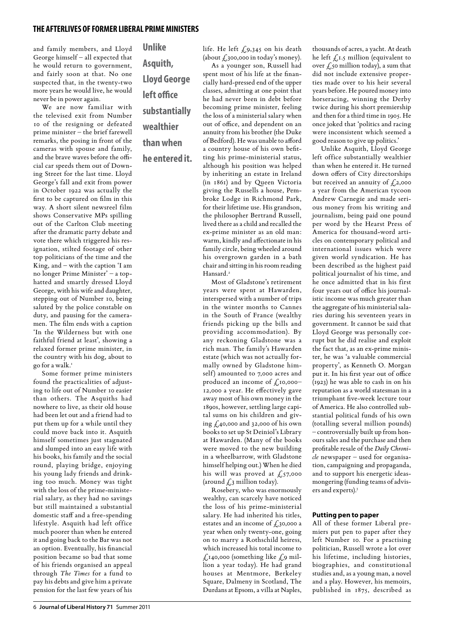and family members, and Lloyd George himself – all expected that he would return to government, and fairly soon at that. No one suspected that, in the twenty-two more years he would live, he would never be in power again.

We are now familiar with the televised exit from Number 10 of the resigning or defeated prime minister – the brief farewell remarks, the posing in front of the cameras with spouse and family, and the brave waves before the official car speeds them out of Downing Street for the last time. Lloyd George's fall and exit from power in October 1922 was actually the first to be captured on film in this way. A short silent newsreel film shows Conservative MPs spilling out of the Carlton Club meeting after the dramatic party debate and vote there which triggered his resignation, stilted footage of other top politicians of the time and the King, and – with the caption 'I am no longer Prime Minister' – a tophatted and smartly dressed Lloyd George, with his wife and daughter, stepping out of Number 10, being saluted by the police constable on duty, and pausing for the cameramen. The film ends with a caption 'In the Wilderness but with one faithful friend at least', showing a relaxed former prime minister, in the country with his dog, about to go for a walk.<sup>1</sup>

Some former prime ministers found the practicalities of adjusting to life out of Number 10 easier than others. The Asquiths had nowhere to live, as their old house had been let out and a friend had to put them up for a while until they could move back into it. Asquith himself sometimes just stagnated and slumped into an easy life with his books, his family and the social round, playing bridge, enjoying his young lady friends and drinking too much. Money was tight with the loss of the prime-ministerial salary, as they had no savings but still maintained a substantial domestic staff and a free-spending lifestyle. Asquith had left office much poorer than when he entered it and going back to the Bar was not an option. Eventually, his financial position became so bad that some of his friends organised an appeal through *The Times* for a fund to pay his debts and give him a private pension for the last few years of his

**Unlike Asquith, Lloyd George left office substantially wealthier than when** 

**he entered it.**

life. He left  $f_{19,345}$  on his death (about  $\ell$ ,300,000 in today's money).

As a younger son, Russell had spent most of his life at the financially hard-pressed end of the upper classes, admitting at one point that he had never been in debt before becoming prime minister, feeling the loss of a ministerial salary when out of office, and dependent on an annuity from his brother (the Duke of Bedford). He was unable to afford a country house of his own befitting his prime-ministerial status, although his position was helped by inheriting an estate in Ireland (in 1861) and by Queen Victoria giving the Russells a house, Pembroke Lodge in Richmond Park, for their lifetime use. His grandson, the philosopher Bertrand Russell, lived there as a child and recalled the ex-prime minister as an old man: warm, kindly and affectionate in his family circle, being wheeled around his overgrown garden in a bath chair and sitting in his room reading Hansard.<sup>2</sup>

Most of Gladstone's retirement years were spent at Hawarden, interspersed with a number of trips in the winter months to Cannes in the South of France (wealthy friends picking up the bills and providing accommodation). By any reckoning Gladstone was a rich man. The family's Hawarden estate (which was not actually formally owned by Gladstone himself) amounted to 7,000 acres and produced an income of  $f_{,10,000}$ -12,000 a year. He effectively gave away most of his own money in the 1890s, however, settling large capital sums on his children and giving  $\zeta_4$ 0,000 and 32,000 of his own books to set up St Deiniol's Library at Hawarden. (Many of the books were moved to the new building in a wheelbarrow, with Gladstone himself helping out.) When he died his will was proved at  $\pounds_{57,000}$ (around  $\sqrt{2}$ , million today).

Rosebery, who was enormously wealthy, can scarcely have noticed the loss of his prime-ministerial salary. He had inherited his titles, estates and an income of  $\mathcal{L}_{30,000}$  a year when only twenty-one, going on to marry a Rothschild heiress, which increased his total income to  $\pounds$ 140,000 (something like  $\pounds$ 9 million a year today). He had grand houses at Mentmore, Berkeley Square, Dalmeny in Scotland, The Durdans at Epsom, a villa at Naples,

thousands of acres, a yacht. At death he left  $f_{,I.5}$  million (equivalent to over  $\zeta$ , so million today), a sum that did not include extensive properties made over to his heir several years before. He poured money into horseracing, winning the Derby twice during his short premiership and then for a third time in 1905. He once joked that 'politics and racing were inconsistent which seemed a good reason to give up politics.'

Unlike Asquith, Lloyd George left office substantially wealthier than when he entered it. He turned down offers of City directorships but received an annuity of  $f_1$ ,000 a year from the American tycoon Andrew Carnegie and made serious money from his writing and journalism, being paid one pound per word by the Hearst Press of America for thousand-word articles on contemporary political and international issues which were given world syndication. He has been described as the highest paid political journalist of his time, and he once admitted that in his first four years out of office his journalistic income was much greater than the aggregate of his ministerial salaries during his seventeen years in government. It cannot be said that Lloyd George was personally corrupt but he did realise and exploit the fact that, as an ex-prime minister, he was 'a valuable commercial property', as Kenneth O. Morgan put it. In his first year out of office (1923) he was able to cash in on his reputation as a world statesman in a triumphant five-week lecture tour of America. He also controlled substantial political funds of his own (totalling several million pounds) – controversially built up from honours sales and the purchase and then profitable resale of the *Daily Chronicle* newspaper – used for organisation, campaigning and propaganda, and to support his energetic ideasmongering (funding teams of advisers and experts).3

#### **Putting pen to paper**

All of these former Liberal premiers put pen to paper after they left Number 10. For a practising politician, Russell wrote a lot over his lifetime, including histories, biographies, and constitutional studies and, as a young man, a novel and a play. However, his memoirs, published in 1875, described as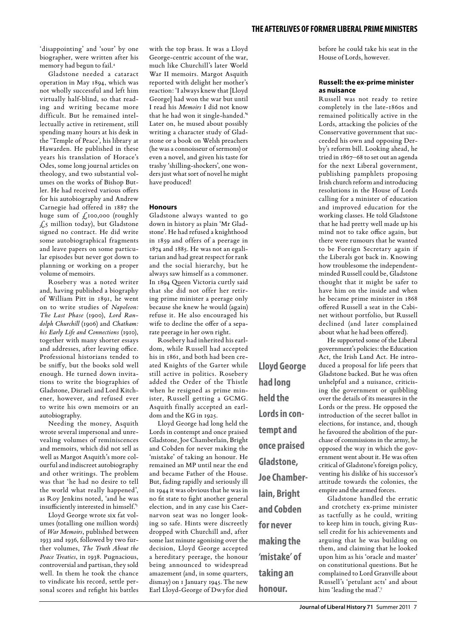'disappointing' and 'sour' by one biographer, were written after his memory had begun to fail.4

Gladstone needed a cataract operation in May 1894, which was not wholly successful and left him virtually half-blind, so that reading and writing became more difficult. But he remained intellectually active in retirement, still spending many hours at his desk in the 'Temple of Peace', his library at Hawarden. He published in these years his translation of Horace's Odes, some long journal articles on theology, and two substantial volumes on the works of Bishop Butler. He had received various offers for his autobiography and Andrew Carnegie had offered in 1887 the huge sum of  $\zeta$ 100,000 (roughly £5 million today), but Gladstone signed no contract. He did write some autobiographical fragments and leave papers on some particular episodes but never got down to planning or working on a proper volume of memoirs.

Rosebery was a noted writer and, having published a biography of William Pitt in 1891, he went on to write studies of *Napoleon: The Last Phase* (1900), *Lord Randolph Churchill* (1906) and *Chatham: his Early Life and Connections* (1910), together with many shorter essays and addresses, after leaving office. Professional historians tended to be sniffy, but the books sold well enough. He turned down invitations to write the biographies of Gladstone, Disraeli and Lord Kitchener, however, and refused ever to write his own memoirs or an autobiography.

Needing the money, Asquith wrote several impersonal and unrevealing volumes of reminiscences and memoirs, which did not sell as well as Margot Asquith's more colourful and indiscreet autobiography and other writings. The problem was that 'he had no desire to tell the world what really happened', as Roy Jenkins noted, 'and he was insufficiently interested in himself.'5

Lloyd George wrote six fat volumes (totalling one million words) of *War Memoirs*, published between 1933 and 1936, followed by two further volumes, *The Truth About the Peace Treaties*, in 1938. Pugnacious, controversial and partisan, they sold well. In them he took the chance to vindicate his record, settle personal scores and refight his battles

with the top brass. It was a Lloyd George-centric account of the war, much like Churchill's later World War II memoirs. Margot Asquith reported with delight her mother's reaction: 'I always knew that [Lloyd George] had won the war but until I read his *Memoirs* I did not know that he had won it single-handed.'6 Later on, he mused about possibly writing a character study of Gladstone or a book on Welsh preachers (he was a connoisseur of sermons) or even a novel, and given his taste for trashy 'shilling-shockers', one wonders just what sort of novel he might have produced!

#### **Honours**

Gladstone always wanted to go down in history as plain 'Mr Gladstone'. He had refused a knighthood in 1859 and offers of a peerage in 1874 and 1885. He was not an egalitarian and had great respect for rank and the social hierarchy, but he always saw himself as a commoner. In 1894 Queen Victoria curtly said that she did not offer her retiring prime minister a peerage only because she knew he would (again) refuse it. He also encouraged his wife to decline the offer of a separate peerage in her own right.

Rosebery had inherited his earldom, while Russell had accepted his in 1861, and both had been created Knights of the Garter while still active in politics. Rosebery added the Order of the Thistle when he resigned as prime minister, Russell getting a GCMG. Asquith finally accepted an earldom and the KG in 1925.

Lloyd George had long held the Lords in contempt and once praised Gladstone, Joe Chamberlain, Bright and Cobden for never making the 'mistake' of taking an honour. He remained an MP until near the end and became Father of the House. But, fading rapidly and seriously ill in 1944 it was obvious that he was in no fit state to fight another general election, and in any case his Caernarvon seat was no longer looking so safe. Hints were discreetly dropped with Churchill and, after some last minute agonising over the decision, Lloyd George accepted a hereditary peerage, the honour being announced to widespread amazement (and, in some quarters, dismay) on 1 January 1945. The new Earl Lloyd-George of Dwyfor died

**Lloyd George had long held the Lords in contempt and once praised Gladstone, Joe Chamberlain, Bright and Cobden for never making the 'mistake' of taking an honour.**

before he could take his seat in the House of Lords, however.

#### **Russell: the ex-prime minister as nuisance**

Russell was not ready to retire completely in the late-1860s and remained politically active in the Lords, attacking the policies of the Conservative government that succeeded his own and opposing Derby's reform bill. Looking ahead, he tried in 1867–68 to set out an agenda for the next Liberal government, publishing pamphlets proposing Irish church reform and introducing resolutions in the House of Lords calling for a minister of education and improved education for the working classes. He told Gladstone that he had pretty well made up his mind not to take office again, but there were rumours that he wanted to be Foreign Secretary again if the Liberals got back in. Knowing how troublesome the independentminded Russell could be, Gladstone thought that it might be safer to have him on the inside and when he became prime minister in 1868 offered Russell a seat in the Cabinet without portfolio, but Russell declined (and later complained about what he had been offered).

He supported some of the Liberal government's policies: the Education Act, the Irish Land Act. He introduced a proposal for life peers that Gladstone backed. But he was often unhelpful and a nuisance, criticising the government or quibbling over the details of its measures in the Lords or the press. He opposed the introduction of the secret ballot in elections, for instance, and, though he favoured the abolition of the purchase of commissions in the army, he opposed the way in which the government went about it. He was often critical of Gladstone's foreign policy, venting his dislike of his successor's attitude towards the colonies, the empire and the armed forces.

Gladstone handled the erratic and crotchety ex-prime minister as tactfully as he could, writing to keep him in touch, giving Russell credit for his achievements and arguing that he was building on them, and claiming that he looked upon him as his 'oracle and master' on constitutional questions. But he complained to Lord Granville about Russell's 'petulant acts' and about him 'leading the mad'.7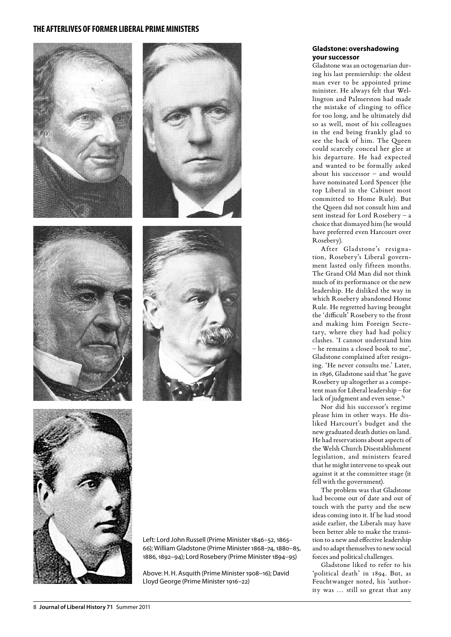









Left: Lord John Russell (Prime Minister 1846–52, 1865– 66); William Gladstone (Prime Minister 1868–74, 1880–85, 1886, 1892–94); Lord Rosebery (Prime Minister 1894–95)

Above: H. H. Asquith (Prime Minister 1908–16); David Lloyd George (Prime Minister 1916–22)

#### **Gladstone: overshadowing your successor**

Gladstone was an octogenarian during his last premiership: the oldest man ever to be appointed prime minister. He always felt that Wellington and Palmerston had made the mistake of clinging to office for too long, and he ultimately did so as well, most of his colleagues in the end being frankly glad to see the back of him. The Queen could scarcely conceal her glee at his departure. He had expected and wanted to be formally asked about his successor – and would have nominated Lord Spencer (the top Liberal in the Cabinet most committed to Home Rule). But the Queen did not consult him and sent instead for Lord Rosebery – a choice that dismayed him (he would have preferred even Harcourt over Rosebery).

After Gladstone's resignation, Rosebery's Liberal government lasted only fifteen months. The Grand Old Man did not think much of its performance or the new leadership. He disliked the way in which Rosebery abandoned Home Rule. He regretted having brought the 'difficult' Rosebery to the front and making him Foreign Secretary, where they had had policy clashes. 'I cannot understand him – he remains a closed book to me', Gladstone complained after resigning. 'He never consults me.' Later, in 1896, Gladstone said that 'he gave Rosebery up altogether as a competent man for Liberal leadership – for lack of judgment and even sense.'8

Nor did his successor's regime please him in other ways. He disliked Harcourt's budget and the new graduated death duties on land. He had reservations about aspects of the Welsh Church Disestablishment legislation, and ministers feared that he might intervene to speak out against it at the committee stage (it fell with the government).

The problem was that Gladstone had become out of date and out of touch with the party and the new ideas coming into it. If he had stood aside earlier, the Liberals may have been better able to make the transition to a new and effective leadership and to adapt themselves to new social forces and political challenges.

Gladstone liked to refer to his 'political death' in 1894. But, as Feuchtwanger noted, his 'authority was … still so great that any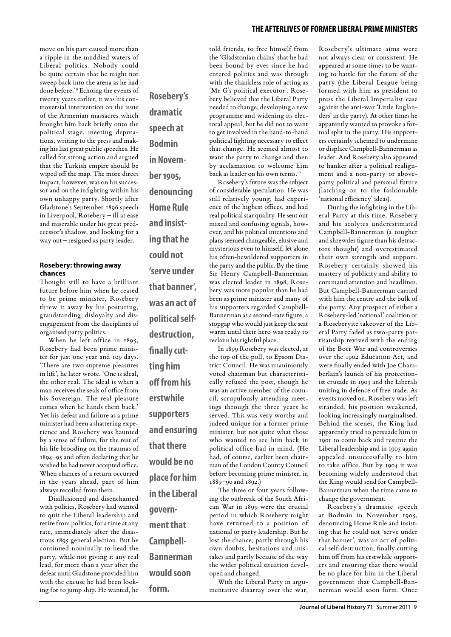move on his part caused more than a ripple in the muddied waters of Liberal politics. Nobody could be quite certain that he might not sweep back into the arena as he had done before.'<sup>9</sup> Echoing the events of twenty years earlier, it was his controversial intervention on the issue of the Armenian massacres which brought him back briefly onto the political stage, meeting deputations, writing to the press and making his last great public speeches. He called for strong action and argued that the Turkish empire should be wiped off the map. The more direct impact, however, was on his successor and on the infighting within his own unhappy party. Shortly after Gladstone's September 1896 speech in Liverpool, Rosebery – ill at ease and miserable under his great predecessor's shadow, and looking for a way out – resigned as party leader.

#### **Rosebery: throwing away chances**

Thought still to have a brilliant future before him when he ceased to be prime minister, Rosebery threw it away by his posturing, grandstanding, disloyalty and disengagement from the disciplines of organised party politics.

When he left office in 1895, Rosebery had been prime minister for just one year and 109 days. 'There are two supreme pleasures in life', he later wrote. 'One is ideal, the other real. The ideal is when a man receives the seals of office from his Sovereign. The real pleasure comes when he hands them back.' Yet his defeat and failure as a prime minister had been a shattering experience and Rosebery was haunted by a sense of failure, for the rest of his life brooding on the traumas of 1894–95 and often declaring that he wished he had never accepted office. When chances of a return occurred in the years ahead, part of him always recoiled from them.

Disillusioned and disenchanted with politics, Rosebery had wanted to quit the Liberal leadership and retire from politics, for a time at any rate, immediately after the disastrous 1895 general election. But he continued nominally to head the party, while not giving it any real lead, for more than a year after the defeat until Gladstone provided him with the excuse he had been looking for to jump ship. He wanted, he **Rosebery's dramatic speech at Bodmin in November 1905, denouncing Home Rule and insisting that he could not 'serve under that banner', was an act of political selfdestruction, finally cutting him off from his erstwhile supporters and ensuring that there would be no place for him in the Liberal government that Campbell-Bannerman would soon** 

**form.** 

told friends, to free himself from the 'Gladstonian chains' that he had been bound by ever since he had entered politics and was through with the thankless role of acting as 'Mr G's political executor'. Rosebery believed that the Liberal Party needed to change, developing a new programme and widening its electoral appeal, but he did not to want to get involved in the hand-to-hand political fighting necessary to effect that change. He seemed almost to want the party to change and then by acclamation to welcome him back as leader on his own terms.<sup>10</sup>

Rosebery's future was the subject of considerable speculation. He was still relatively young, had experience of the highest offices, and had real political star quality. He sent out mixed and confusing signals, however, and his political intentions and plans seemed changeable, elusive and mysterious even to himself, let alone his often-bewildered supporters in the party and the public. By the time Sir Henry Campbell-Bannerman was elected leader in 1898, Rosebery was more popular than he had been as prime minister and many of his supporters regarded Campbell-Bannerman as a second-rate figure, a stopgap who would just keep the seat warm until their hero was ready to reclaim his rightful place.

In 1899 Rosebery was elected, at the top of the poll, to Epsom District Council. He was unanimously voted chairman but characteristically refused the post, though he was an active member of the council, scrupulously attending meetings through the three years he served. This was very worthy and indeed unique for a former prime minister, but not quite what those who wanted to see him back in political office had in mind. (He had, of course, earlier been chairman of the London County Council before becoming prime minister, in 1889–90 and 1892.)

The three or four years following the outbreak of the South African War in 1899 were the crucial period in which Rosebery might have returned to a position of national or party leadership. But he lost the chance, partly through his own doubts, hesitations and mistakes and partly because of the way the wider political situation developed and changed.

With the Liberal Party in argumentative disarray over the war, Rosebery's ultimate aims were not always clear or consistent. He appeared at some times to be wanting to battle for the future of the party (the Liberal League being formed with him as president to press the Liberal Imperialist case against the anti-war 'Little Englanders' in the party). At other times he apparently wanted to provoke a formal split in the party. His supporters certainly schemed to undermine or displace Campbell-Bannerman as leader. And Rosebery also appeared to hanker after a political realignment and a non-party or aboveparty political and personal future (latching on to the fashionable 'national efficiency' ideas).

During the infighting in the Liberal Party at this time, Rosebery and his acolytes underestimated Campbell-Bannerman (a tougher and shrewder figure than his detractors thought) and overestimated their own strength and support. Rosebery certainly showed his mastery of publicity and ability to command attention and headlines. But Campbell-Bannerman carried with him the centre and the bulk of the party. Any prospect of either a Rosebery-led 'national' coalition or a Roseberyite takeover of the Liberal Party faded as two-party partisanship revived with the ending of the Boer War and controversies over the 1902 Education Act, and were finally ended with Joe Chamberlain's launch of his protectionist crusade in 1903 and the Liberals uniting in defence of free trade. As events moved on, Rosebery was left stranded, his position weakened, looking increasingly marginalised. Behind the scenes, the King had apparently tried to persuade him in 1901 to come back and resume the Liberal leadership and in 1905 again appealed unsuccessfully to him to take office. But by 1904 it was becoming widely understood that the King would send for Campbell-Bannerman when the time came to change the government.

Rosebery's dramatic speech at Bodmin in November 1905, denouncing Home Rule and insisting that he could not 'serve under that banner', was an act of political self-destruction, finally cutting him off from his erstwhile supporters and ensuring that there would be no place for him in the Liberal government that Campbell-Bannerman would soon form. Once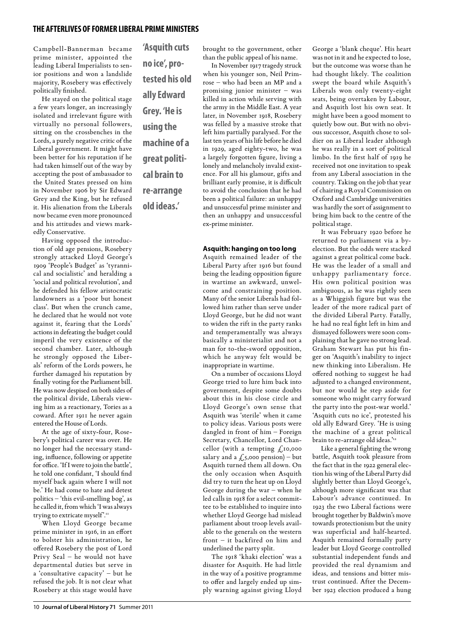Campbell-Bannerman became prime minister, appointed the leading Liberal Imperialists to senior positions and won a landslide majority, Rosebery was effectively politically finished.

He stayed on the political stage a few years longer, an increasingly isolated and irrelevant figure with virtually no personal followers, sitting on the crossbenches in the Lords, a purely negative critic of the Liberal government. It might have been better for his reputation if he had taken himself out of the way by accepting the post of ambassador to the United States pressed on him in November 1906 by Sir Edward Grey and the King, but he refused it. His alienation from the Liberals now became even more pronounced and his attitudes and views markedly Conservative.

Having opposed the introduction of old age pensions, Rosebery strongly attacked Lloyd George's 1909 'People's Budget' as 'tyrannical and socialistic' and heralding a 'social and political revolution', and he defended his fellow aristocratic landowners as a 'poor but honest class'. But when the crunch came, he declared that he would not vote against it, fearing that the Lords' actions in defeating the budget could imperil the very existence of the second chamber. Later, although he strongly opposed the Liberals' reform of the Lords powers, he further damaged his reputation by finally voting for the Parliament bill. He was now despised on both sides of the political divide, Liberals viewing him as a reactionary, Tories as a coward. After 1911 he never again entered the House of Lords.

At the age of sixty-four, Rosebery's political career was over. He no longer had the necessary standing, influence, following or appetite for office. 'If I were to join the battle', he told one confidant, 'I should find myself back again where I will not be.' He had come to hate and detest politics – 'this evil-smelling bog', as he called it, from which 'I was always trying to extricate myself'.11

When Lloyd George became prime minister in 1916, in an effort to bolster his administration, he offered Rosebery the post of Lord Privy Seal – he would not have departmental duties but serve in a 'consultative capacity' – but he refused the job. It is not clear what Rosebery at this stage would have

**'Asquith cuts no ice', protested his old ally Edward Grey. 'He is using the machine of a great political brain to re-arrange old ideas.'**

brought to the government, other than the public appeal of his name.

In November 1917 tragedy struck when his younger son, Neil Primrose – who had been an MP and a promising junior minister – was killed in action while serving with the army in the Middle East. A year later, in November 1918, Rosebery was felled by a massive stroke that left him partially paralysed. For the last ten years of his life before he died in 1929, aged eighty-two, he was a largely forgotten figure, living a lonely and melancholy invalid existence. For all his glamour, gifts and brilliant early promise, it is difficult to avoid the conclusion that he had been a political failure: an unhappy and unsuccessful prime minister and then an unhappy and unsuccessful ex-prime minister.

#### **Asquith: hanging on too long**

Asquith remained leader of the Liberal Party after 1916 but found being the leading opposition figure in wartime an awkward, unwelcome and constraining position. Many of the senior Liberals had followed him rather than serve under Lloyd George, but he did not want to widen the rift in the party ranks and temperamentally was always basically a ministerialist and not a man for to-the-sword opposition, which he anyway felt would be inappropriate in wartime.

On a number of occasions Lloyd George tried to lure him back into government, despite some doubts about this in his close circle and Lloyd George's own sense that Asquith was 'sterile' when it came to policy ideas. Various posts were dangled in front of him – Foreign Secretary, Chancellor, Lord Chancellor (with a tempting  $\mathcal{L}$ 10,000 salary and a  $\angle$ 5,000 pension) – but Asquith turned them all down. On the only occasion when Asquith did try to turn the heat up on Lloyd George during the war – when he led calls in 1918 for a select committee to be established to inquire into whether Lloyd George had mislead parliament about troop levels available to the generals on the western front – it backfired on him and underlined the party split.

The 1918 'khaki election' was a disaster for Asquith. He had little in the way of a positive programme to offer and largely ended up simply warning against giving Lloyd George a 'blank cheque'. His heart was not in it and he expected to lose, but the outcome was worse than he had thought likely. The coalition swept the board while Asquith's Liberals won only twenty-eight seats, being overtaken by Labour, and Asquith lost his own seat. It might have been a good moment to quietly bow out. But with no obvious successor, Asquith chose to soldier on as Liberal leader although he was really in a sort of political limbo. In the first half of 1919 he received not one invitation to speak from any Liberal association in the country. Taking on the job that year of chairing a Royal Commission on Oxford and Cambridge universities was hardly the sort of assignment to bring him back to the centre of the political stage.

It was February 1920 before he returned to parliament via a byelection. But the odds were stacked against a great political come back. He was the leader of a small and unhappy parliamentary force. His own political position was ambiguous, as he was rightly seen as a Whiggish figure but was the leader of the more radical part of the divided Liberal Party. Fatally, he had no real fight left in him and dismayed followers were soon complaining that he gave no strong lead. Graham Stewart has put his finger on 'Asquith's inability to inject new thinking into Liberalism. He offered nothing to suggest he had adjusted to a changed environment, but nor would he step aside for someone who might carry forward the party into the post-war world.' 'Asquith cuts no ice', protested his old ally Edward Grey. 'He is using the machine of a great political brain to re-arrange old ideas."<sup>12</sup>

Like a general fighting the wrong battle, Asquith took pleasure from the fact that in the 1922 general election his wing of the Liberal Party did slightly better than Lloyd George's, although more significant was that Labour's advance continued. In 1923 the two Liberal factions were brought together by Baldwin's move towards protectionism but the unity was superficial and half-hearted. Asquith remained formally party leader but Lloyd George controlled substantial independent funds and provided the real dynamism and ideas, and tensions and bitter mistrust continued. After the December 1923 election produced a hung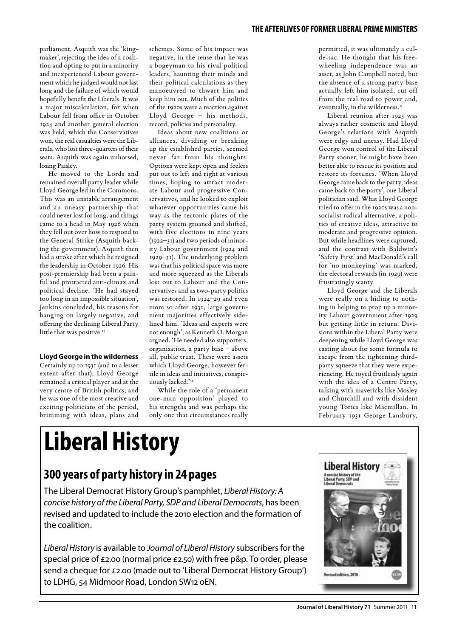parliament, Asquith was the 'kingmaker', rejecting the idea of a coalition and opting to put in a minority and inexperienced Labour government which he judged would not last long and the failure of which would hopefully benefit the Liberals. It was a major miscalculation, for when Labour fell from office in October 1924 and another general election was held, which the Conservatives won, the real casualties were the Liberals, who lost three-quarters of their seats. Asquith was again unhorsed, losing Paisley.

He moved to the Lords and remained overall party leader while Lloyd George led in the Commons. This was an unstable arrangement and an uneasy partnership that could never lost for long, and things came to a head in May 1926 when they fell out over how to respond to the General Strike (Asquith backing the government). Asquith then had a stroke after which he resigned the leadership in October 1926. His post-premiership had been a painful and protracted anti-climax and political decline. 'He had stayed too long in an impossible situation', Jenkins concluded, his reasons for hanging on largely negative, and offering the declining Liberal Party little that was positive.<sup>13</sup>

#### **Lloyd George in the wilderness**

Certainly up to 1931 (and to a lesser extent after that), Lloyd George remained a critical player and at the very centre of British politics, and he was one of the most creative and exciting politicians of the period, brimming with ideas, plans and schemes. Some of his impact was negative, in the sense that he was a bogeyman to his rival political leaders, haunting their minds and their political calculations as they manoeuvred to thwart him and keep him out. Much of the politics of the 1920s were a reaction against Lloyd George – his methods, record, policies and personality.

Ideas about new coalitions or alliances, dividing or breaking up the established parties, seemed never far from his thoughts. Options were kept open and feelers put out to left and right at various times, hoping to attract moderate Labour and progressive Conservatives, and he looked to exploit whatever opportunities came his way as the tectonic plates of the party system groaned and shifted, with five elections in nine years (1922–31) and two periods of minority Labour government (1924 and 1929–31). The underlying problem was that his political space was more and more squeezed as the Liberals lost out to Labour and the Conservatives and as two-party politics was restored. In 1924–29 and even more so after 1931, large government majorities effectively sidelined him. 'Ideas and experts were not enough', as Kenneth O. Morgan argued. 'He needed also supporters, organisation, a party base – above all, public trust. These were assets which Lloyd George, however fertile in ideas and initiatives, conspicuously lacked.'14

While the role of a 'permanent one-man opposition' played to his strengths and was perhaps the only one that circumstances really

permitted, it was ultimately a culde-sac. He thought that his freewheeling independence was an asset, as John Campbell noted, but the absence of a strong party base actually left him isolated, cut off from the real road to power and, eventually, in the wilderness.<sup>15</sup>

Liberal reunion after 1923 was always rather cosmetic and Lloyd George's relations with Asquith were edgy and uneasy. Had Lloyd George won control of the Liberal Party sooner, he might have been better able to rescue its position and restore its fortunes. 'When Lloyd George came back to the party, ideas came back to the party', one Liberal politician said. What Lloyd George tried to offer in the 1920s was a nonsocialist radical alternative, a politics of creative ideas, attractive to moderate and progressive opinion. But while headlines were captured, and the contrast with Baldwin's 'Safety First' and MacDonald's call for 'no monkeying' was marked, the electoral rewards (in 1929) were frustratingly scanty.

Lloyd George and the Liberals were really on a hiding to nothing in helping to prop up a minority Labour government after 1929 but getting little in return. Divisions within the Liberal Party were deepening while Lloyd George was casting about for some formula to escape from the tightening thirdparty squeeze that they were experiencing. He toyed fruitlessly again with the idea of a Centre Party, talking with mavericks like Mosley and Churchill and with dissident young Tories like Macmillan. In February 1931 George Lansbury,

## **Liberal History**

### **300 years of party history in 24 pages**

The Liberal Democrat History Group's pamphlet, *Liberal History: A concise history of the Liberal Party, SDP and Liberal Democrats*, has been revised and updated to include the 2010 election and the formation of the coalition.

*Liberal History* is available to *Journal of Liberal History* subscribers for the special price of £2.00 (normal price £2.50) with free p&p. To order, please send a cheque for £2.00 (made out to 'Liberal Democrat History Group') to LDHG, 54 Midmoor Road, London SW12 0EN.

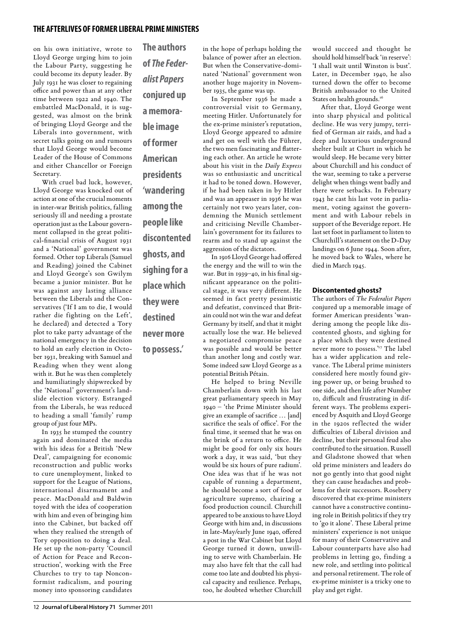on his own initiative, wrote to Lloyd George urging him to join the Labour Party, suggesting he could become its deputy leader. By July 1931 he was closer to regaining office and power than at any other time between 1922 and 1940. The embattled MacDonald, it is suggested, was almost on the brink of bringing Lloyd George and the Liberals into government, with secret talks going on and rumours that Lloyd George would become Leader of the House of Commons and either Chancellor or Foreign Secretary.

With cruel bad luck, however, Lloyd George was knocked out of action at one of the crucial moments in inter-war British politics, falling seriously ill and needing a prostate operation just as the Labour government collapsed in the great political-financial crisis of August 1931 and a 'National' government was formed. Other top Liberals (Samuel and Reading) joined the Cabinet and Lloyd George's son Gwilym became a junior minister. But he was against any lasting alliance between the Liberals and the Conservatives ('If I am to die, I would rather die fighting on the Left', he declared) and detected a Tory plot to take party advantage of the national emergency in the decision to hold an early election in October 1931, breaking with Samuel and Reading when they went along with it. But he was then completely and humiliatingly shipwrecked by the 'National' government's landslide election victory. Estranged from the Liberals, he was reduced to heading a small 'family' rump group of just four MPs.

In 1935 he stumped the country again and dominated the media with his ideas for a British 'New Deal', campaigning for economic reconstruction and public works to cure unemployment, linked to support for the League of Nations, international disarmament and peace. MacDonald and Baldwin toyed with the idea of cooperation with him and even of bringing him into the Cabinet, but backed off when they realised the strength of Tory opposition to doing a deal. He set up the non-party 'Council of Action for Peace and Reconstruction', working with the Free Churches to try to tap Nonconformist radicalism, and pouring money into sponsoring candidates

**The authors of** *The Federalist Papers*  **conjured up a memorable image of former American presidents 'wandering among the people like discontented ghosts, and sighing for a place which they were destined never more to possess.'**

nated 'National' government won another huge majority in November 1935, the game was up. In September 1936 he made a controversial visit to Germany, meeting Hitler. Unfortunately for

the ex-prime minister's reputation, Lloyd George appeared to admire and get on well with the Führer, the two men fascinating and flattering each other. An article he wrote about his visit in the *Daily Express* was so enthusiastic and uncritical it had to be toned down. However, if he had been taken in by Hitler and was an appeaser in 1936 he was certainly not two years later, condemning the Munich settlement and criticising Neville Chamberlain's government for its failures to rearm and to stand up against the aggression of the dictators.

in the hope of perhaps holding the balance of power after an election. But when the Conservative-domi-

In 1916 Lloyd George had offered the energy and the will to win the war. But in 1939–40, in his final significant appearance on the political stage, it was very different. He seemed in fact pretty pessimistic and defeatist, convinced that Britain could not win the war and defeat Germany by itself, and that it might actually lose the war. He believed a negotiated compromise peace was possible and would be better than another long and costly war. Some indeed saw Lloyd George as a potential British Pétain.

He helped to bring Neville Chamberlain down with his last great parliamentary speech in May 1940 – 'the Prime Minister should give an example of sacrifice … [and] sacrifice the seals of office'. For the final time, it seemed that he was on the brink of a return to office. He might be good for only six hours work a day, it was said, 'but they would be six hours of pure radium'. One idea was that if he was not capable of running a department, he should become a sort of food or agriculture supremo, chairing a food production council. Churchill appeared to be anxious to have Lloyd George with him and, in discussions in late-May/early June 1940, offered a post in the War Cabinet but Lloyd George turned it down, unwilling to serve with Chamberlain. He may also have felt that the call had come too late and doubted his physical capacity and resilience. Perhaps, too, he doubted whether Churchill

would succeed and thought he should hold himself back 'in reserve': 'I shall wait until Winston is bust'. Later, in December 1940, he also turned down the offer to become British ambassador to the United States on health grounds.<sup>16</sup>

After that, Lloyd George went into sharp physical and political decline. He was very jumpy, terrified of German air raids, and had a deep and luxurious underground shelter built at Churt in which he would sleep. He became very bitter about Churchill and his conduct of the war, seeming to take a perverse delight when things went badly and there were setbacks. In February 1943 he cast his last vote in parliament, voting against the government and with Labour rebels in support of the Beveridge report. He last set foot in parliament to listen to Churchill's statement on the D-Day landings on 6 June 1944. Soon after, he moved back to Wales, where he died in March 1945.

#### **Discontented ghosts?**

The authors of *The Federalist Papers* conjured up a memorable image of former American presidents 'wandering among the people like discontented ghosts, and sighing for a place which they were destined never more to possess.'<sup>17</sup> The label has a wider application and relevance. The Liberal prime ministers considered here mostly found giving power up, or being brushed to one side, and then life after Number 10, difficult and frustrating in different ways. The problems experienced by Asquith and Lloyd George in the 1920s reflected the wider difficulties of Liberal division and decline, but their personal feud also contributed to the situation. Russell and Gladstone showed that when old prime ministers and leaders do not go gently into that good night they can cause headaches and problems for their successors. Rosebery discovered that ex-prime ministers cannot have a constructive continuing role in British politics if they try to 'go it alone'. These Liberal prime ministers' experience is not unique for many of their Conservative and Labour counterparts have also had problems in letting go, finding a new role, and settling into political and personal retirement. The role of ex-prime minister is a tricky one to play and get right.